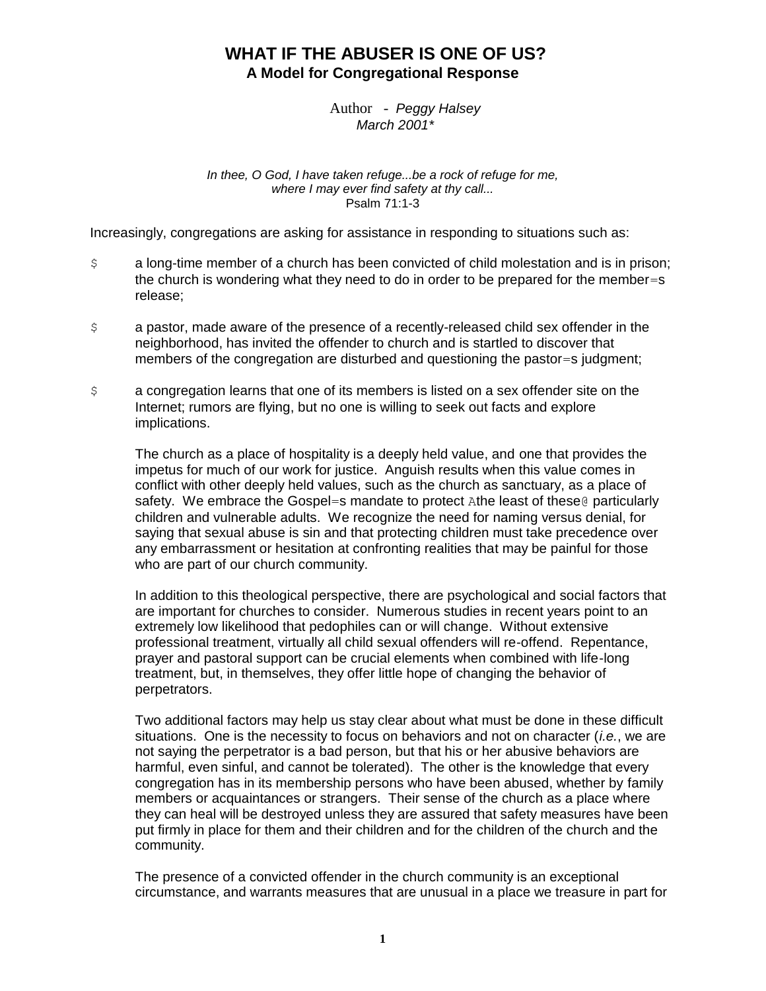# **WHAT IF THE ABUSER IS ONE OF US? A Model for Congregational Response**

Author - *Peggy Halsey March 2001\**

*In thee, O God, I have taken refuge...be a rock of refuge for me, where I may ever find safety at thy call...* Psalm 71:1-3

Increasingly, congregations are asking for assistance in responding to situations such as:

- \$ a long-time member of a church has been convicted of child molestation and is in prison; the church is wondering what they need to do in order to be prepared for the member=s release;
- \$ a pastor, made aware of the presence of a recently-released child sex offender in the neighborhood, has invited the offender to church and is startled to discover that members of the congregation are disturbed and questioning the pastor=s judgment;
- \$ a congregation learns that one of its members is listed on a sex offender site on the Internet; rumors are flying, but no one is willing to seek out facts and explore implications.

The church as a place of hospitality is a deeply held value, and one that provides the impetus for much of our work for justice. Anguish results when this value comes in conflict with other deeply held values, such as the church as sanctuary, as a place of safety. We embrace the Gospel=s mandate to protect Athe least of these@ particularly children and vulnerable adults. We recognize the need for naming versus denial, for saying that sexual abuse is sin and that protecting children must take precedence over any embarrassment or hesitation at confronting realities that may be painful for those who are part of our church community.

In addition to this theological perspective, there are psychological and social factors that are important for churches to consider. Numerous studies in recent years point to an extremely low likelihood that pedophiles can or will change. Without extensive professional treatment, virtually all child sexual offenders will re-offend. Repentance, prayer and pastoral support can be crucial elements when combined with life-long treatment, but, in themselves, they offer little hope of changing the behavior of perpetrators.

Two additional factors may help us stay clear about what must be done in these difficult situations. One is the necessity to focus on behaviors and not on character (*i.e.*, we are not saying the perpetrator is a bad person, but that his or her abusive behaviors are harmful, even sinful, and cannot be tolerated). The other is the knowledge that every congregation has in its membership persons who have been abused, whether by family members or acquaintances or strangers. Their sense of the church as a place where they can heal will be destroyed unless they are assured that safety measures have been put firmly in place for them and their children and for the children of the church and the community.

The presence of a convicted offender in the church community is an exceptional circumstance, and warrants measures that are unusual in a place we treasure in part for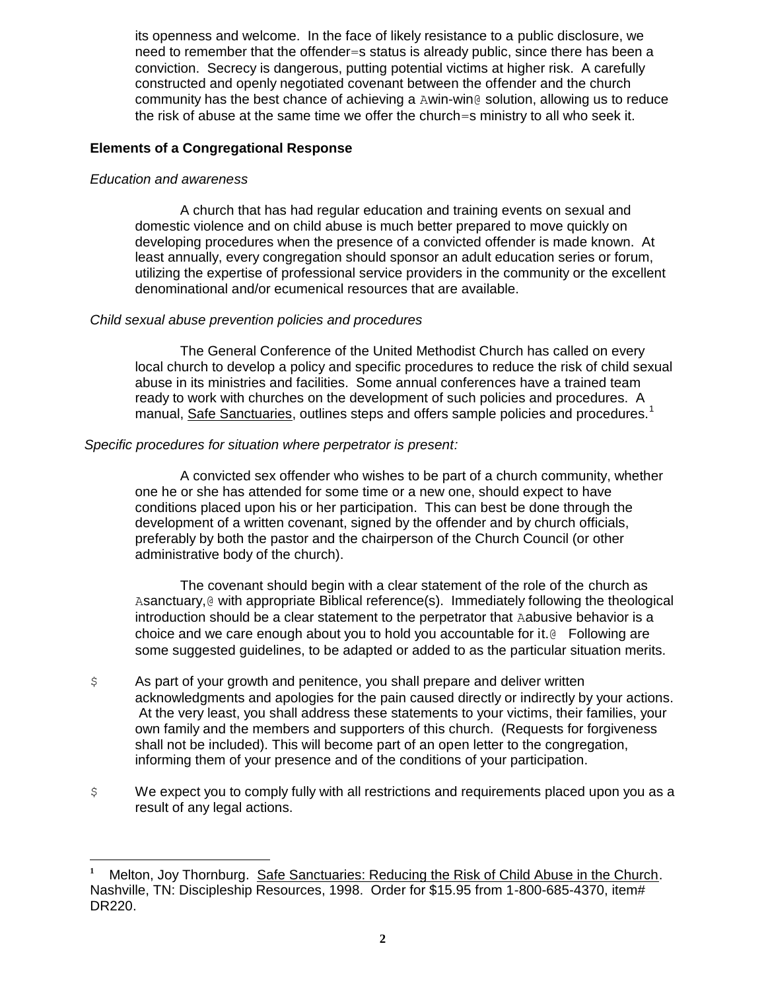its openness and welcome. In the face of likely resistance to a public disclosure, we need to remember that the offender=s status is already public, since there has been a conviction. Secrecy is dangerous, putting potential victims at higher risk. A carefully constructed and openly negotiated covenant between the offender and the church community has the best chance of achieving a Awin-win@ solution, allowing us to reduce the risk of abuse at the same time we offer the church=s ministry to all who seek it.

# **Elements of a Congregational Response**

## *Education and awareness*

 $\overline{a}$ 

A church that has had regular education and training events on sexual and domestic violence and on child abuse is much better prepared to move quickly on developing procedures when the presence of a convicted offender is made known. At least annually, every congregation should sponsor an adult education series or forum, utilizing the expertise of professional service providers in the community or the excellent denominational and/or ecumenical resources that are available.

# *Child sexual abuse prevention policies and procedures*

The General Conference of the United Methodist Church has called on every local church to develop a policy and specific procedures to reduce the risk of child sexual abuse in its ministries and facilities. Some annual conferences have a trained team ready to work with churches on the development of such policies and procedures. A manual, Safe Sanctuaries, outlines steps and offers sample policies and procedures.<sup>1</sup>

### *Specific procedures for situation where perpetrator is present:*

A convicted sex offender who wishes to be part of a church community, whether one he or she has attended for some time or a new one, should expect to have conditions placed upon his or her participation. This can best be done through the development of a written covenant, signed by the offender and by church officials, preferably by both the pastor and the chairperson of the Church Council (or other administrative body of the church).

The covenant should begin with a clear statement of the role of the church as Asanctuary, @ with appropriate Biblical reference(s). Immediately following the theological introduction should be a clear statement to the perpetrator that Aabusive behavior is a choice and we care enough about you to hold you accountable for it.@ Following are some suggested guidelines, to be adapted or added to as the particular situation merits.

- \$ As part of your growth and penitence, you shall prepare and deliver written acknowledgments and apologies for the pain caused directly or indirectly by your actions. At the very least, you shall address these statements to your victims, their families, your own family and the members and supporters of this church. (Requests for forgiveness shall not be included). This will become part of an open letter to the congregation, informing them of your presence and of the conditions of your participation.
- \$ We expect you to comply fully with all restrictions and requirements placed upon you as a result of any legal actions.

**<sup>1</sup>** Melton, Joy Thornburg. Safe Sanctuaries: Reducing the Risk of Child Abuse in the Church. Nashville, TN: Discipleship Resources, 1998. Order for \$15.95 from 1-800-685-4370, item# DR220.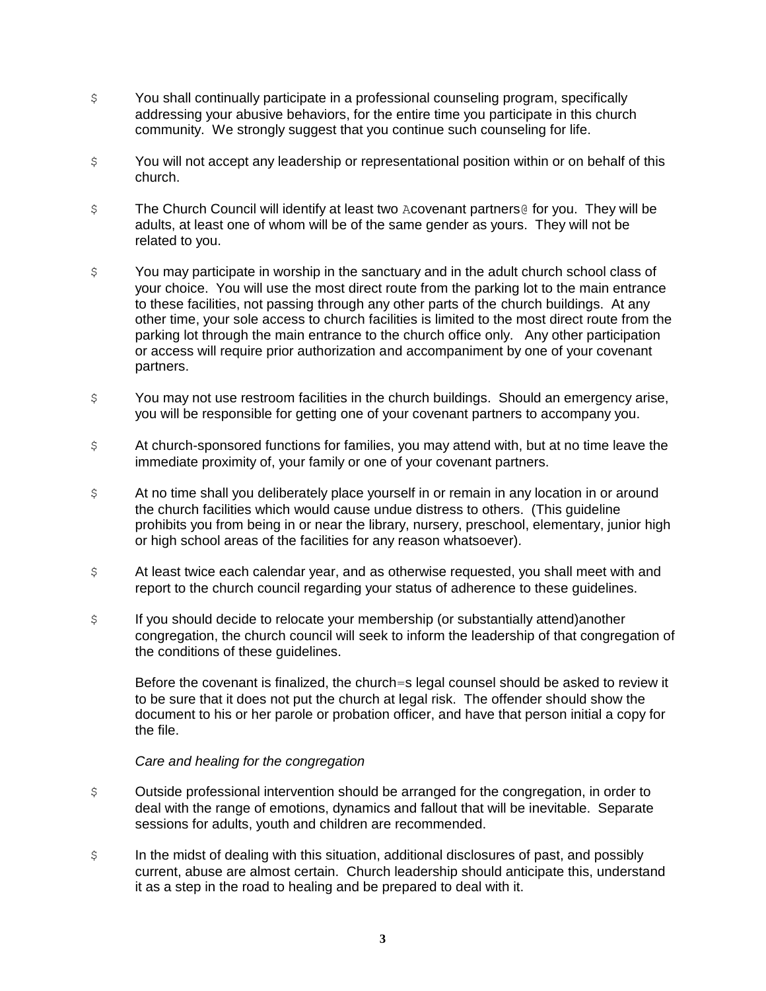- \$ You shall continually participate in a professional counseling program, specifically addressing your abusive behaviors, for the entire time you participate in this church community. We strongly suggest that you continue such counseling for life.
- $\varsigma$  You will not accept any leadership or representational position within or on behalf of this church.
- \$ The Church Council will identify at least two Acovenant partners@ for you. They will be adults, at least one of whom will be of the same gender as yours. They will not be related to you.
- \$ You may participate in worship in the sanctuary and in the adult church school class of your choice. You will use the most direct route from the parking lot to the main entrance to these facilities, not passing through any other parts of the church buildings. At any other time, your sole access to church facilities is limited to the most direct route from the parking lot through the main entrance to the church office only. Any other participation or access will require prior authorization and accompaniment by one of your covenant partners.
- \$ You may not use restroom facilities in the church buildings. Should an emergency arise, you will be responsible for getting one of your covenant partners to accompany you.
- \$ At church-sponsored functions for families, you may attend with, but at no time leave the immediate proximity of, your family or one of your covenant partners.
- $\beta$  At no time shall you deliberately place yourself in or remain in any location in or around the church facilities which would cause undue distress to others. (This guideline prohibits you from being in or near the library, nursery, preschool, elementary, junior high or high school areas of the facilities for any reason whatsoever)*.*
- $\beta$  At least twice each calendar year, and as otherwise requested, you shall meet with and report to the church council regarding your status of adherence to these guidelines.
- \$ If you should decide to relocate your membership (or substantially attend)another congregation, the church council will seek to inform the leadership of that congregation of the conditions of these guidelines.

Before the covenant is finalized, the church=s legal counsel should be asked to review it to be sure that it does not put the church at legal risk. The offender should show the document to his or her parole or probation officer, and have that person initial a copy for the file.

#### *Care and healing for the congregation*

- \$ Outside professional intervention should be arranged for the congregation, in order to deal with the range of emotions, dynamics and fallout that will be inevitable. Separate sessions for adults, youth and children are recommended.
- \$ In the midst of dealing with this situation, additional disclosures of past, and possibly current, abuse are almost certain. Church leadership should anticipate this, understand it as a step in the road to healing and be prepared to deal with it.